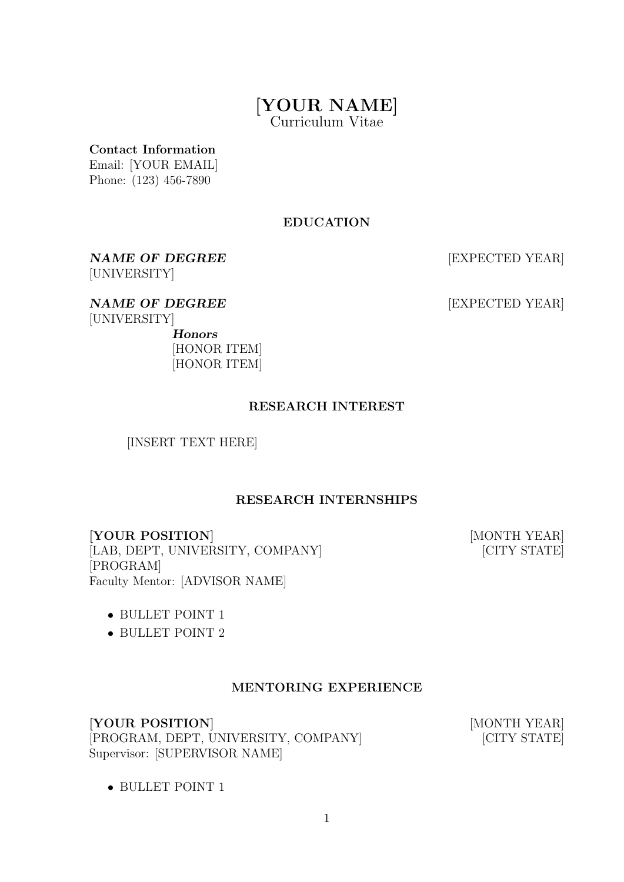# [YOUR NAME]

Curriculum Vitae

Contact Information

Email: [YOUR EMAIL] Phone: (123) 456-7890

# EDUCATION

NAME OF DEGREE [EXPECTED YEAR] [UNIVERSITY]

NAME OF DEGREE [EXPECTED YEAR] [UNIVERSITY] Honors

[HONOR ITEM] [HONOR ITEM]

# RESEARCH INTEREST

[INSERT TEXT HERE]

# RESEARCH INTERNSHIPS

[YOUR POSITION] [MONTH YEAR] [LAB, DEPT, UNIVERSITY, COMPANY] [CITY STATE] [PROGRAM] Faculty Mentor: [ADVISOR NAME]

- BULLET POINT 1
- BULLET POINT 2

#### MENTORING EXPERIENCE

[YOUR POSITION] [MONTH YEAR] [PROGRAM, DEPT, UNIVERSITY, COMPANY] [CITY STATE] Supervisor: [SUPERVISOR NAME]

• BULLET POINT 1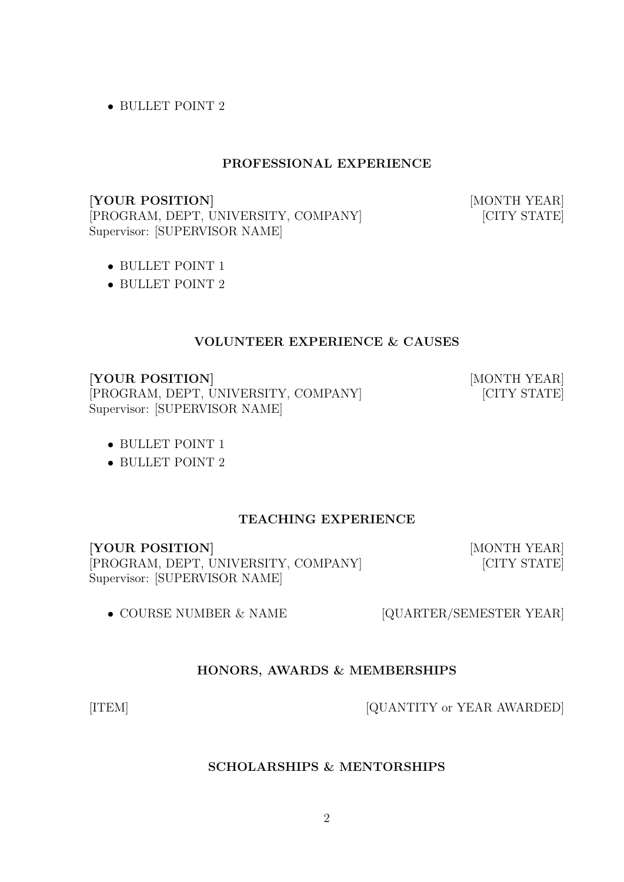• BULLET POINT 2

#### PROFESSIONAL EXPERIENCE

[YOUR POSITION] [MONTH YEAR] [PROGRAM, DEPT, UNIVERSITY, COMPANY] [CITY STATE] Supervisor: [SUPERVISOR NAME]

- BULLET POINT 1
- BULLET POINT 2

## VOLUNTEER EXPERIENCE & CAUSES

[YOUR POSITION] [MONTH YEAR]

[PROGRAM, DEPT, UNIVERSITY, COMPANY] [CITY STATE] Supervisor: [SUPERVISOR NAME]

- BULLET POINT 1
- BULLET POINT 2

# TEACHING EXPERIENCE

[YOUR POSITION] [MONTH YEAR] [PROGRAM, DEPT, UNIVERSITY, COMPANY] [CITY STATE] Supervisor: [SUPERVISOR NAME]

• COURSE NUMBER & NAME [QUARTER/SEMESTER YEAR]

#### HONORS, AWARDS & MEMBERSHIPS

[ITEM] [QUANTITY or YEAR AWARDED]

SCHOLARSHIPS & MENTORSHIPS